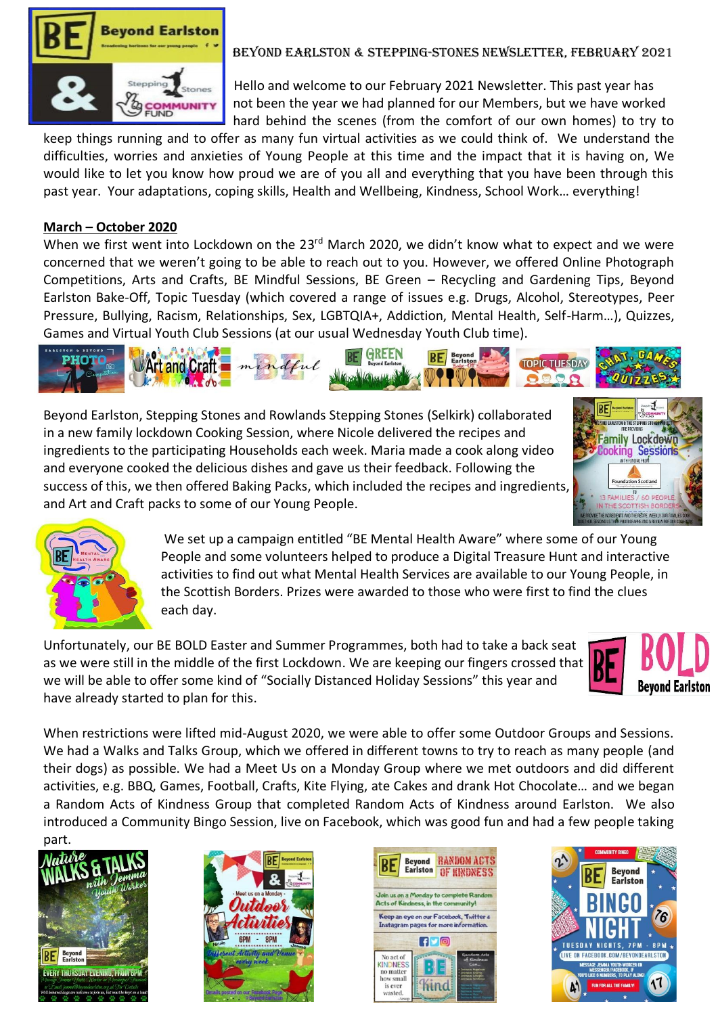

# Beyond Earlston & Stepping-Stones Newsletter, February 2021

 Hello and welcome to our February 2021 Newsletter. This past year has **COMMUNITY** not been the year we had planned for our Members, but we have worked hard behind the scenes (from the comfort of our own homes) to try to

keep things running and to offer as many fun virtual activities as we could think of. We understand the difficulties, worries and anxieties of Young People at this time and the impact that it is having on, We would like to let you know how proud we are of you all and everything that you have been through this past year. Your adaptations, coping skills, Health and Wellbeing, Kindness, School Work… everything!

### **March – October 2020**

When we first went into Lockdown on the 23<sup>rd</sup> March 2020, we didn't know what to expect and we were concerned that we weren't going to be able to reach out to you. However, we offered Online Photograph Competitions, Arts and Crafts, BE Mindful Sessions, BE Green – Recycling and Gardening Tips, Beyond Earlston Bake-Off, Topic Tuesday (which covered a range of issues e.g. Drugs, Alcohol, Stereotypes, Peer Pressure, Bullying, Racism, Relationships, Sex, LGBTQIA+, Addiction, Mental Health, Self-Harm…), Quizzes, Games and Virtual Youth Club Sessions (at our usual Wednesday Youth Club time).



Beyond Earlston, Stepping Stones and Rowlands Stepping Stones (Selkirk) collaborated in a new family lockdown Cooking Session, where Nicole delivered the recipes and ingredients to the participating Households each week. Maria made a cook along video and everyone cooked the delicious dishes and gave us their feedback. Following the success of this, we then offered Baking Packs, which included the recipes and ingredients, and Art and Craft packs to some of our Young People.





 We set up a campaign entitled "BE Mental Health Aware" where some of our Young People and some volunteers helped to produce a Digital Treasure Hunt and interactive activities to find out what Mental Health Services are available to our Young People, in the Scottish Borders. Prizes were awarded to those who were first to find the clues each day.

Unfortunately, our BE BOLD Easter and Summer Programmes, both had to take a back seat as we were still in the middle of the first Lockdown. We are keeping our fingers crossed that we will be able to offer some kind of "Socially Distanced Holiday Sessions" this year and have already started to plan for this.



When restrictions were lifted mid-August 2020, we were able to offer some Outdoor Groups and Sessions. We had a Walks and Talks Group, which we offered in different towns to try to reach as many people (and their dogs) as possible. We had a Meet Us on a Monday Group where we met outdoors and did different activities, e.g. BBQ, Games, Football, Crafts, Kite Flying, ate Cakes and drank Hot Chocolate… and we began a Random Acts of Kindness Group that completed Random Acts of Kindness around Earlston. We also introduced a Community Bingo Session, live on Facebook, which was good fun and had a few people taking part.







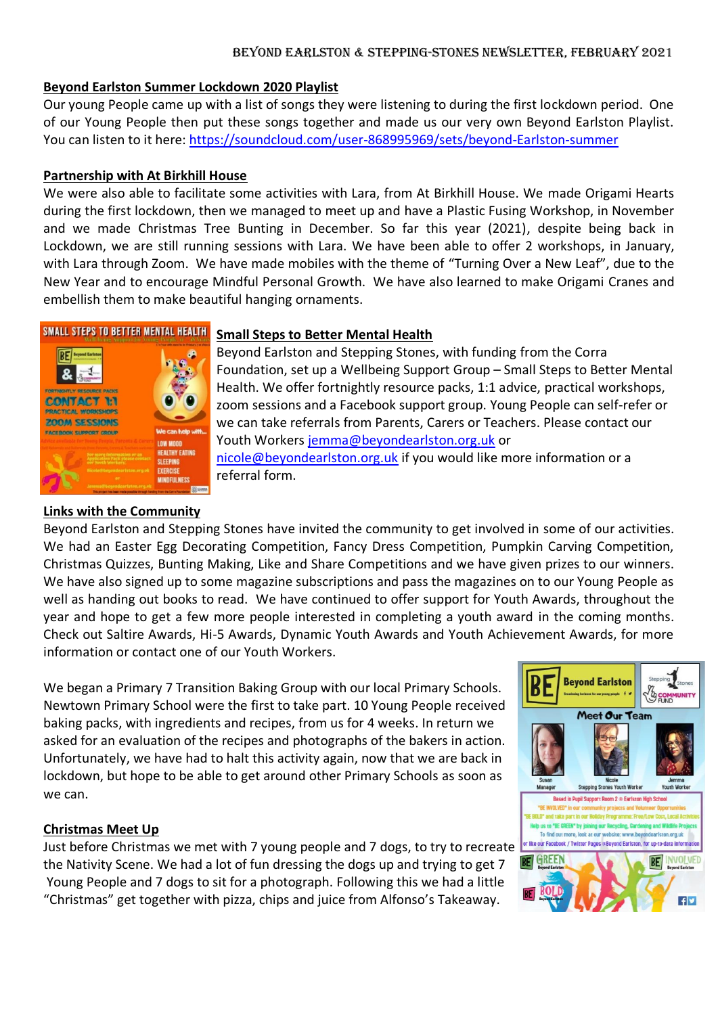#### Beyond Earlston & Stepping-Stones Newsletter, February 2021

## **Beyond Earlston Summer Lockdown 2020 Playlist**

Our young People came up with a list of songs they were listening to during the first lockdown period. One of our Young People then put these songs together and made us our very own Beyond Earlston Playlist. You can listen to it here: [https://soundcloud.com/user-868995969/sets/beyond-Earlston-summer](https://l.facebook.com/l.php?u=https%3A%2F%2Fsoundcloud.com%2Fuser-868995969%2Fsets%2Fbeyond-Earlston-summer%3Ffbclid%3DIwAR0hVeAlesEYKewy5o_57Q9QBz6A48zsMTiN5RPdXC7_JRM_nVsgiK0usWo&h=AT2lzf11p7_T6EkwR1QosEjH5c1Oicb-QNWfXCM8Cm_b34iOWS3JEDwZ2sWOFSJIyl6tlFLlBZOiHjhBFeIwjJtI8WCl8tQNsRyjQbBYSapaZ5jXd3gzUpf6pysM8PfBnFOWvwBUvR13YH6ZHaDY)

### **Partnership with At Birkhill House**

We were also able to facilitate some activities with Lara, from At Birkhill House. We made Origami Hearts during the first lockdown, then we managed to meet up and have a Plastic Fusing Workshop, in November and we made Christmas Tree Bunting in December. So far this year (2021), despite being back in Lockdown, we are still running sessions with Lara. We have been able to offer 2 workshops, in January, with Lara through Zoom. We have made mobiles with the theme of "Turning Over a New Leaf", due to the New Year and to encourage Mindful Personal Growth. We have also learned to make Origami Cranes and embellish them to make beautiful hanging ornaments.



## **Links with the Community**

## **SMALL STEPS TO BETTER MENTAL HEALTH Small Steps to Better Mental Health**

Beyond Earlston and Stepping Stones, with funding from the Corra Foundation, set up a Wellbeing Support Group – Small Steps to Better Mental Health. We offer fortnightly resource packs, 1:1 advice, practical workshops, zoom sessions and a Facebook support group. Young People can self-refer or **ZOOM SESSIONS**<br>FACEROOK SUPPORT GROUP Youth Workers [jemma@beyondearlston.org.uk](mailto:jemma@beyondearlston.org.uk) or NEALIKY EATING<br>SLEEPING [nicole@beyondearlston.org.uk](mailto:nicole@beyondearlston.org.uk) if you would like more information or a referral form.

Beyond Earlston and Stepping Stones have invited the community to get involved in some of our activities. We had an Easter Egg Decorating Competition, Fancy Dress Competition, Pumpkin Carving Competition, Christmas Quizzes, Bunting Making, Like and Share Competitions and we have given prizes to our winners. We have also signed up to some magazine subscriptions and pass the magazines on to our Young People as well as handing out books to read. We have continued to offer support for Youth Awards, throughout the year and hope to get a few more people interested in completing a youth award in the coming months. Check out Saltire Awards, Hi-5 Awards, Dynamic Youth Awards and Youth Achievement Awards, for more information or contact one of our Youth Workers.

We began a Primary 7 Transition Baking Group with our local Primary Schools. Newtown Primary School were the first to take part. 10 Young People received baking packs, with ingredients and recipes, from us for 4 weeks. In return we asked for an evaluation of the recipes and photographs of the bakers in action. Unfortunately, we have had to halt this activity again, now that we are back in lockdown, but hope to be able to get around other Primary Schools as soon as we can.

#### **Christmas Meet Up**

Just before Christmas we met with 7 young people and 7 dogs, to try to recreate the Nativity Scene. We had a lot of fun dressing the dogs up and trying to get 7 Young People and 7 dogs to sit for a photograph. Following this we had a little "Christmas" get together with pizza, chips and juice from Alfonso's Takeaway.